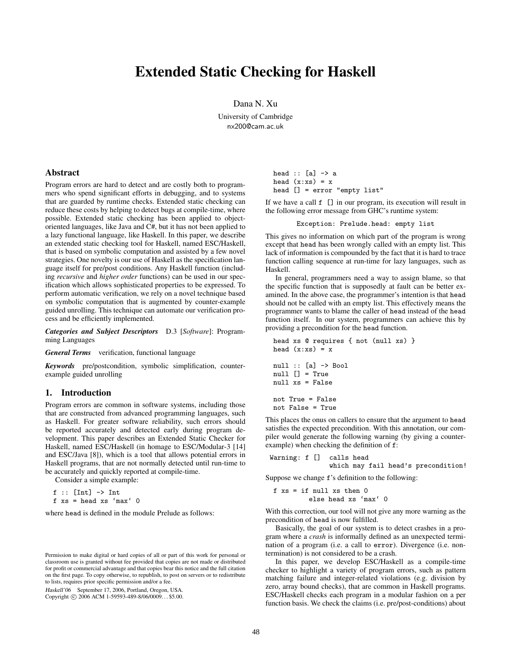# **Extended Static Checking for Haskell**

Dana N. Xu

University of Cambridge nx200@cam.ac.uk

# **Abstract**

Program errors are hard to detect and are costly both to programmers who spend significant efforts in debugging, and to systems that are guarded by runtime checks. Extended static checking can reduce these costs by helping to detect bugs at compile-time, where possible. Extended static checking has been applied to objectoriented languages, like Java and C#, but it has not been applied to a lazy functional language, like Haskell. In this paper, we describe an extended static checking tool for Haskell, named ESC/Haskell, that is based on symbolic computation and assisted by a few novel strategies. One novelty is our use of Haskell as the specification language itself for pre/post conditions. Any Haskell function (including *recursive* and *higher order* functions) can be used in our specification which allows sophisticated properties to be expressed. To perform automatic verification, we rely on a novel technique based on symbolic computation that is augmented by counter-example guided unrolling. This technique can automate our verification process and be efficiently implemented.

*Categories and Subject Descriptors* D.3 [*Software*]: Programming Languages

*General Terms* verification, functional language

*Keywords* pre/postcondition, symbolic simplification, counterexample guided unrolling

### **1. Introduction**

Program errors are common in software systems, including those that are constructed from advanced programming languages, such as Haskell. For greater software reliability, such errors should be reported accurately and detected early during program development. This paper describes an Extended Static Checker for Haskell, named ESC/Haskell (in homage to ESC/Modular-3 [14] and ESC/Java [8]), which is a tool that allows potential errors in Haskell programs, that are not normally detected until run-time to be accurately and quickly reported at compile-time.

Consider a simple example:

 $f$  :: [Int]  $\rightarrow$  Int  $f$  xs = head xs 'max' 0

where head is defined in the module Prelude as follows:

Haskell'06 September 17, 2006, Portland, Oregon, USA.

Copyright © 2006 ACM 1-59593-489-8/06/0009... \$5.00.

head :: [a] -> a head  $(x:xs) = x$ head [] = error "empty list"

If we have a call f [] in our program, its execution will result in the following error message from GHC's runtime system:

Exception: Prelude.head: empty list

This gives no information on which part of the program is wrong except that head has been wrongly called with an empty list. This lack of information is compounded by the fact that it is hard to trace function calling sequence at run-time for lazy languages, such as Haskell.

In general, programmers need a way to assign blame, so that the specific function that is supposedly at fault can be better examined. In the above case, the programmer's intention is that head should not be called with an empty list. This effectively means the programmer wants to blame the caller of head instead of the head function itself. In our system, programmers can achieve this by providing a precondition for the head function.

```
head xs @ requires { not (null xs) }
head (x:xs) = xnull :: [a] \rightarrow Boolnull [] = True
null xs = False
not True = False
not False = True
```
This places the onus on callers to ensure that the argument to head satisfies the expected precondition. With this annotation, our compiler would generate the following warning (by giving a counterexample) when checking the definition of f:

```
Warning: f [] calls head
               which may fail head's precondition!
```
Suppose we change f's definition to the following:

$$
f xs = if null xs then 0
$$
  
else head xs 'max' 0

With this correction, our tool will not give any more warning as the precondition of head is now fulfilled.

Basically, the goal of our system is to detect crashes in a program where a *crash* is informally defined as an unexpected termination of a program (i.e. a call to error). Divergence (i.e. nontermination) is not considered to be a crash.

In this paper, we develop ESC/Haskell as a compile-time checker to highlight a variety of program errors, such as pattern matching failure and integer-related violations (e.g. division by zero, array bound checks), that are common in Haskell programs. ESC/Haskell checks each program in a modular fashion on a per function basis. We check the claims (i.e. pre/post-conditions) about

Permission to make digital or hard copies of all or part of this work for personal or classroom use is granted without fee provided that copies are not made or distributed for profit or commercial advantage and that copies bear this notice and the full citation on the first page. To copy otherwise, to republish, to post on servers or to redistribute to lists, requires prior specific permission and/or a fee.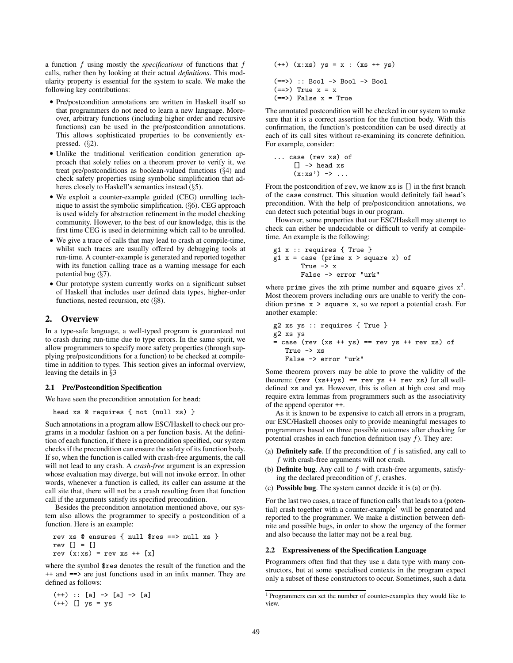a function f using mostly the *specifications* of functions that f calls, rather then by looking at their actual *definitions*. This modularity property is essential for the system to scale. We make the following key contributions:

- *•* Pre/postcondition annotations are written in Haskell itself so that programmers do not need to learn a new language. Moreover, arbitrary functions (including higher order and recursive functions) can be used in the pre/postcondition annotations. This allows sophisticated properties to be conveniently expressed. (§2).
- *•* Unlike the traditional verification condition generation approach that solely relies on a theorem prover to verify it, we treat pre/postconditions as boolean-valued functions (§4) and check safety properties using symbolic simplification that adheres closely to Haskell's semantics instead (§5).
- *•* We exploit a counter-example guided (CEG) unrolling technique to assist the symbolic simplification. (§6). CEG approach is used widely for abstraction refinement in the model checking community. However, to the best of our knowledge, this is the first time CEG is used in determining which call to be unrolled.
- *•* We give a trace of calls that may lead to crash at compile-time, whilst such traces are usually offered by debugging tools at run-time. A counter-example is generated and reported together with its function calling trace as a warning message for each potential bug (§7).
- *•* Our prototype system currently works on a significant subset of Haskell that includes user defined data types, higher-order functions, nested recursion, etc  $(\S 8)$ .

# **2. Overview**

In a type-safe language, a well-typed program is guaranteed not to crash during run-time due to type errors. In the same spirit, we allow programmers to specify more safety properties (through supplying pre/postconditions for a function) to be checked at compiletime in addition to types. This section gives an informal overview, leaving the details in §3

### **2.1 Pre/Postcondition Specification**

We have seen the precondition annotation for head:

head xs @ requires { not (null xs) }

Such annotations in a program allow ESC/Haskell to check our programs in a modular fashion on a per function basis. At the definition of each function, if there is a precondition specified, our system checks if the precondition can ensure the safety of its function body. If so, when the function is called with crash-free arguments, the call will not lead to any crash. A *crash-free* argument is an expression whose evaluation may diverge, but will not invoke error. In other words, whenever a function is called, its caller can assume at the call site that, there will not be a crash resulting from that function call if the arguments satisfy its specified precondition.

Besides the precondition annotation mentioned above, our system also allows the programmer to specify a postcondition of a function. Here is an example:

```
rev xs @ ensures { null $res ==> null xs }
rev [] = []
rev (x:xs) = rev xs ++ [x]
```
where the symbol \$res denotes the result of the function and the ++ and ==> are just functions used in an infix manner. They are defined as follows:

```
(++) :: [a] -> [a] -> [a]
(++) [] ys = ys
```
(++) (x:xs) ys = x : (xs ++ ys) (==>) :: Bool -> Bool -> Bool  $(==)$  True  $x = x$  $(==)$  False  $x = True$ 

The annotated postcondition will be checked in our system to make sure that it is a correct assertion for the function body. With this confirmation, the function's postcondition can be used directly at each of its call sites without re-examining its concrete definition. For example, consider:

$$
\dots \text{ case (rev xs) of}
$$
  
[] 
$$
\rightarrow \text{head xs}
$$
  

$$
(x:xs') \rightarrow \dots
$$

From the postcondition of rev, we know xs is [] in the first branch of the case construct. This situation would definitely fail head's precondition. With the help of pre/postcondition annotations, we can detect such potential bugs in our program.

However, some properties that our ESC/Haskell may attempt to check can either be undecidable or difficult to verify at compiletime. An example is the following:

```
g1 x :: requires { True }
g1 x = case (prime x > square x) of
       True -> x
       False -> error "urk"
```
where prime gives the xth prime number and square gives  $x^2$ . Most theorem provers including ours are unable to verify the condition prime x > square x, so we report a potential crash. For another example:

```
g2 xs ys :: requires { True }
g2 xs ys
= case (rev (xs ++ ys) == rev ys ++ rev xs) of
   True -> xs
   False -> error "urk"
```
Some theorem provers may be able to prove the validity of the theorem:  $(rev (xs++ys) == rev ys ++ rev xs)$  for all welldefined xs and ys. However, this is often at high cost and may require extra lemmas from programmers such as the associativity of the append operator ++.

As it is known to be expensive to catch all errors in a program, our ESC/Haskell chooses only to provide meaningful messages to programmers based on three possible outcomes after checking for potential crashes in each function definition (say  $f$ ). They are:

- (a) **Definitely safe**. If the precondition of  $f$  is satisfied, any call to f with crash-free arguments will not crash.
- (b) **Definite bug**. Any call to f with crash-free arguments, satisfying the declared precondition of  $f$ , crashes.
- (c) **Possible bug**. The system cannot decide it is (a) or (b).

For the last two cases, a trace of function calls that leads to a (potential) crash together with a counter-example<sup>1</sup> will be generated and reported to the programmer. We make a distinction between definite and possible bugs, in order to show the urgency of the former and also because the latter may not be a real bug.

### **2.2 Expressiveness of the Specification Language**

Programmers often find that they use a data type with many constructors, but at some specialised contexts in the program expect only a subset of these constructors to occur. Sometimes, such a data

<sup>1</sup> Programmers can set the number of counter-examples they would like to view.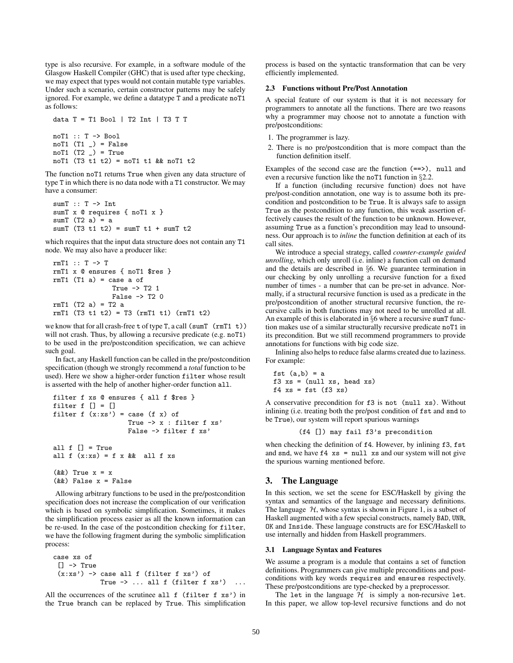type is also recursive. For example, in a software module of the Glasgow Haskell Compiler (GHC) that is used after type checking, we may expect that types would not contain mutable type variables. Under such a scenario, certain constructor patterns may be safely ignored. For example, we define a datatype T and a predicate noT1 as follows:

```
data T = T1 Bool | T2 Int | T3 T T
noT1 :: T -> Bool
noT1 (T1) = False
noT1 (T2) = True
noT1 (T3 t1 t2) = noT1 t1 && noT1 t2
```
The function noT1 returns True when given any data structure of type T in which there is no data node with a T1 constructor. We may have a consumer:

```
sumT :: T -> Int
sumT x @ requires { noT1 x }
sumT(T2 a) = asumT (T3 t1 t2) = sumT t1 + sumT t2
```
which requires that the input data structure does not contain any T1 node. We may also have a producer like:

```
rmT1 :: T -> T
rmT1 x @ ensures { noT1 $res }
rmT1 (T1 a) = case a of
                True -> T2 1
                False \rightarrow T2 0
rmT1 (T2 a) = T2 a
rmT1 (T3 t1 t2) = T3 (rmT1 t1) (rmT1 t2)
```
we know that for all crash-free  $t$  of type T, a call (sumT ( $rm T1 t)$ ) will not crash. Thus, by allowing a recursive predicate (e.g. noT1) to be used in the pre/postcondition specification, we can achieve such goal.

In fact, any Haskell function can be called in the pre/postcondition specification (though we strongly recommend a *total* function to be used). Here we show a higher-order function filter whose result is asserted with the help of another higher-order function all.

```
filter f xs @ ensures { all f $res }
filter f [] = []filter f(x:xs') = case (f x) ofTrue -> x : filter f xs'
                  False -> filter f xs'
all f [] = True
all f(x:xs) = f(x)& all f(xs)(kk) True x = x(&&) False x = False
```
Allowing arbitrary functions to be used in the pre/postcondition specification does not increase the complication of our verification which is based on symbolic simplification. Sometimes, it makes the simplification process easier as all the known information can be re-used. In the case of the postcondition checking for filter, we have the following fragment during the symbolic simplification process:

```
case xs of
 [] \rightarrow True(x:xs') \rightarrow case all f (filter f xs') of
               True \rightarrow ... all f (filter f xs')
```
All the occurrences of the scrutinee all f (filter f xs') in the True branch can be replaced by True. This simplification process is based on the syntactic transformation that can be very efficiently implemented.

### **2.3 Functions without Pre/Post Annotation**

A special feature of our system is that it is not necessary for programmers to annotate all the functions. There are two reasons why a programmer may choose not to annotate a function with pre/postconditions:

- 1. The programmer is lazy.
- 2. There is no pre/postcondition that is more compact than the function definition itself.

Examples of the second case are the function  $(==)$ , null and even a recursive function like the noT1 function in §2.2.

If a function (including recursive function) does not have pre/post-condition annotation, one way is to assume both its precondition and postcondition to be True. It is always safe to assign True as the postcondition to any function, this weak assertion effectively causes the result of the function to be unknown. However, assuming True as a function's precondition may lead to unsoundness. Our approach is to *inline* the function definition at each of its call sites.

We introduce a special strategy, called *counter-example guided unrolling*, which only unroll (i.e. inline) a function call on demand and the details are described in §6. We guarantee termination in our checking by only unrolling a recursive function for a fixed number of times - a number that can be pre-set in advance. Normally, if a structural recursive function is used as a predicate in the pre/postcondition of another structural recursive function, the recursive calls in both functions may not need to be unrolled at all. An example of this is elaborated in §6 where a recursive sumT function makes use of a similar structurally recursive predicate noT1 in its precondition. But we still recommend programmers to provide annotations for functions with big code size.

Inlining also helps to reduce false alarms created due to laziness. For example:

fst  $(a,b) = a$  $f3 xs = (null xs, head xs)$  $f4$  xs = fst  $(f3$  xs)

A conservative precondition for f3 is not (null xs). Without inlining (i.e. treating both the pre/post condition of fst and snd to be True), our system will report spurious warnings

(f4 []) may fail f3's precondition

when checking the definition of f4. However, by inlining f3, fst and snd, we have  $f4$  xs = null xs and our system will not give the spurious warning mentioned before.

### **3. The Language**

In this section, we set the scene for ESC/Haskell by giving the syntax and semantics of the language and necessary definitions. The language  $H$ , whose syntax is shown in Figure 1, is a subset of Haskell augmented with a few special constructs, namely BAD, UNR, OK and Inside. These language constructs are for ESC/Haskell to use internally and hidden from Haskell programmers.

### **3.1 Language Syntax and Features**

We assume a program is a module that contains a set of function definitions. Programmers can give multiple preconditions and postconditions with key words requires and ensures respectively. These pre/postconditions are type-checked by a preprocessor.

The let in the language  $H$  is simply a non-recursive let. In this paper, we allow top-level recursive functions and do not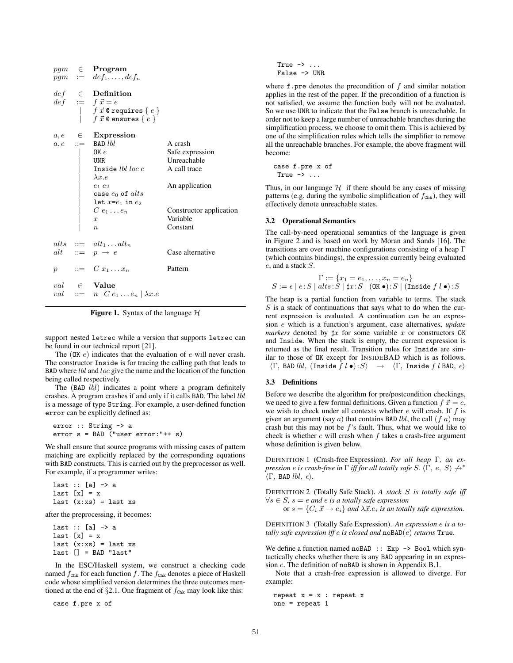|  | $pqm \in$ <b>Program</b><br>$pgm := def_1, \ldots, def_n$                                                                                                                                                                          |                         |
|--|------------------------------------------------------------------------------------------------------------------------------------------------------------------------------------------------------------------------------------|-------------------------|
|  | $\begin{array}{rcl} def & \in & \textbf{Definition} \\ def & := & f \, \vec{x} = e \\ & & \mid & f \, \vec{x} \, \texttt{ @ requires } \{ \, e \, \} \\ & & \mid & f \, \vec{x} \, \texttt{ @ ensures } \{ \, e \, \} \end{array}$ |                         |
|  | $a, e \in$ Expression                                                                                                                                                                                                              |                         |
|  | $a, e$ ::= BAD <i>lbl</i>                                                                                                                                                                                                          | A crash                 |
|  | OK $\it e$                                                                                                                                                                                                                         | Safe expression         |
|  | $\vert$ UNR                                                                                                                                                                                                                        | Unreachable             |
|  | Inside <i>lbl loc e</i>                                                                                                                                                                                                            | A call trace            |
|  | $\lambda x.e$                                                                                                                                                                                                                      |                         |
|  | $e_1e_2$                                                                                                                                                                                                                           | An application          |
|  | case $e_0$ of $alts$                                                                                                                                                                                                               |                         |
|  | $let x = e_1 in e_2$                                                                                                                                                                                                               |                         |
|  | $C e_1 \ldots e_n$                                                                                                                                                                                                                 | Constructor application |
|  | $\boldsymbol{x}$                                                                                                                                                                                                                   | Variable                |
|  | $\eta$                                                                                                                                                                                                                             | Constant                |
|  | alts $ ::= alt_1  alt_n$                                                                                                                                                                                                           |                         |
|  | alt ::= $p \rightarrow e$                                                                                                                                                                                                          | Case alternative        |
|  | $p$ ::= $C x_1 \ldots x_n$                                                                                                                                                                                                         | Pattern                 |
|  | $val \quad \in \quad$ Value<br>val ::= $n   C e_1  e_n   \lambda x.e$                                                                                                                                                              |                         |

**Figure 1.** Syntax of the language  $H$ 

support nested letrec while a version that supports letrec can be found in our technical report [21].

The  $(OK e)$  indicates that the evaluation of  $e$  will never crash. The constructor Inside is for tracing the calling path that leads to BAD where lbl and loc give the name and the location of the function being called respectively.

The (BAD *lbl*) indicates a point where a program definitely crashes. A program crashes if and only if it calls BAD. The label lbl is a message of type String. For example, a user-defined function error can be explicitly defined as:

```
error :: String -> a
error s = BAD ("user error:"++ s)
```
We shall ensure that source programs with missing cases of pattern matching are explicitly replaced by the corresponding equations with BAD constructs. This is carried out by the preprocessor as well. For example, if a programmer writes:

last  $::$  [a]  $\rightarrow$  a last  $[x] = x$ last  $(x:xs) = last xs$ 

after the preprocessing, it becomes:

last  $::$  [a]  $\rightarrow$  a last  $[x] = x$ last  $(x:xs) = last xs$  $last [] = BAD "last"$ 

In the ESC/Haskell system, we construct a checking code named  $f_{\text{Chk}}$  for each function f. The  $f_{\text{Chk}}$  denotes a piece of Haskell code whose simplified version determines the three outcomes mentioned at the end of  $\S2.1$ . One fragment of  $f_{Chk}$  may look like this:

case f.pre x of

True  $\rightarrow$  ... False -> UNR

where  $f$ , pre denotes the precondition of  $f$  and similar notation applies in the rest of the paper. If the precondition of a function is not satisfied, we assume the function body will not be evaluated. So we use UNR to indicate that the False branch is unreachable. In order not to keep a large number of unreachable branches during the simplification process, we choose to omit them. This is achieved by one of the simplification rules which tells the simplifier to remove all the unreachable branches. For example, the above fragment will become:

case f.pre x of True  $\rightarrow \ldots$ 

Thus, in our language  $H$  if there should be any cases of missing patterns (e.g. during the symbolic simplification of  $f_{\text{Chk}}$ ), they will effectively denote unreachable states.

#### **3.2 Operational Semantics**

The call-by-need operational semantics of the language is given in Figure 2 and is based on work by Moran and Sands [16]. The transitions are over machine configurations consisting of a heap Γ (which contains bindings), the expression currently being evaluated e, and a stack S.

$$
S := \{x_1 = e_1, \dots, x_n = e_n\}
$$
  

$$
S := \epsilon \mid e : S \mid alts : S \mid \sharp x : S \mid (\text{OK} \bullet) : S \mid (\text{Inside } f \mid \bullet) : S
$$

The heap is a partial function from variable to terms. The stack  $S$  is a stack of continuations that says what to do when the current expression is evaluated. A continuation can be an expression e which is a function's argument, case alternatives, *update markers* denoted by  $\sharp x$  for some variable x or constructors OK and Inside. When the stack is empty, the current expression is returned as the final result. Transition rules for Inside are similar to those of OK except for INSIDEBAD which is as follows.  $\langle \Gamma, \text{ BAD } lbl, \text{ (Inside } f \ l \bullet): S \rangle \rightarrow \langle \Gamma, \text{ Inside } f \ l \text{ BAD}, \epsilon \rangle$ 

#### **3.3 Definitions**

Before we describe the algorithm for pre/postcondition checkings, we need to give a few formal definitions. Given a function  $f \, \vec{x} = e$ , we wish to check under all contexts whether  $e$  will crash. If  $f$  is given an argument (say  $a$ ) that contains BAD *lbl*, the call  $(f \, a)$  may crash but this may not be  $f$ 's fault. Thus, what we would like to check is whether  $e$  will crash when  $f$  takes a crash-free argument whose definition is given below.

DEFINITION 1 (Crash-free Expression). *For all heap* Γ*, an expression e is crash-free in*  $\Gamma$  *iff for all totally safe*  $S$ *.*  $\langle \Gamma, e, S \rangle \nleftrightarrow$ <sup>\*</sup>  $\langle \Gamma, \text{ BAD } \, \textit{lbl}, \, \epsilon \rangle.$ 

DEFINITION 2 (Totally Safe Stack). *A stack* S *is totally safe iff* ∀s ∈ S*,* s = e *and* e *is a totally safe expression*

or  $s = \{C_i \; \vec{x} \to e_i\}$  and  $\lambda \vec{x}.e_i$  *is an totally safe expression.* 

DEFINITION 3 (Totally Safe Expression). *An expression* e *is a totally safe expression iff* e *is closed and* noBAD(e) *returns* True*.*

We define a function named noBAD :: Exp -> Bool which syntactically checks whether there is any BAD appearing in an expression e. The definition of noBAD is shown in Appendix B.1.

Note that a crash-free expression is allowed to diverge. For example:

repeat  $x = x :$  repeat  $x$ one = repeat 1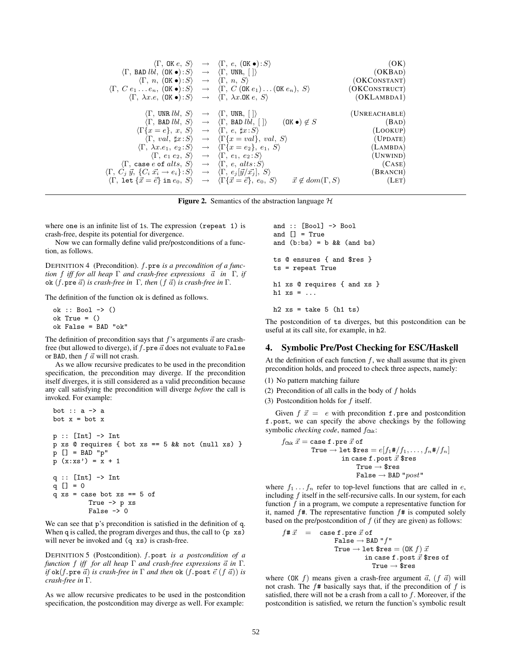|                                                                                                                                                       | $\langle \Gamma, \mathsf{OK} e, S \rangle \rightarrow \langle \Gamma, e, (\mathsf{OK} \bullet) : S \rangle$                                               | (OK)          |
|-------------------------------------------------------------------------------------------------------------------------------------------------------|-----------------------------------------------------------------------------------------------------------------------------------------------------------|---------------|
| $\langle \Gamma, \text{ BAD } Ibl, (\text{OK} \bullet) : S \rangle \rightarrow \langle \Gamma, \text{ UNR}, \cdot   \cdot   \rangle$                  |                                                                                                                                                           | (OKBAD)       |
| $\langle \Gamma, n, (\mathsf{OK} \bullet) : S \rangle \rightarrow \langle \Gamma, n, S \rangle$                                                       |                                                                                                                                                           | (OKCONSTANT)  |
|                                                                                                                                                       | $\langle \Gamma, C e_1 \ldots e_n, (\mathsf{OK} \bullet) : S \rangle \rightarrow \langle \Gamma, C (\mathsf{OK} e_1) \ldots (\mathsf{OK} e_n), S \rangle$ | (OKCONSTRUCT) |
| $\langle \Gamma, \lambda x.e, (\mathsf{OK} \bullet) : S \rangle \rightarrow \langle \Gamma, \lambda x. \mathsf{OK} \ e, S \rangle$                    |                                                                                                                                                           | (OKLAMBDA1)   |
|                                                                                                                                                       |                                                                                                                                                           |               |
| $\langle \Gamma, \text{ UNR } lbl, S \rangle \rightarrow \langle \Gamma, \text{ UNR}, \lceil \rceil \rangle$                                          |                                                                                                                                                           | (UNREACHABLE) |
|                                                                                                                                                       | $(OK \bullet) \notin S$<br>$\langle \Gamma, \text{ BAD } Ibl, S \rangle \rightarrow \langle \Gamma, \text{ BAD } Ibl,   \rangle$                          | (BAD)         |
| $\langle \Gamma \{x = e\}, x, S \rangle$                                                                                                              | $\rightarrow \langle \Gamma, e, \sharp x : S \rangle$                                                                                                     | (LOOKUP)      |
| $\langle \Gamma, val, \sharp x : S \rangle$                                                                                                           | $\rightarrow \langle \Gamma \{x = val\}, val, S \rangle$                                                                                                  | (UPDATE)      |
| $\langle \Gamma, \lambda x . e_1, e_2 : S \rangle$                                                                                                    | $\rightarrow \langle \Gamma \{x = e_2\}, e_1, S \rangle$                                                                                                  | (LAMBDA)      |
| $\langle \Gamma, e_1 e_2, S \rangle$                                                                                                                  | $\rightarrow \langle \Gamma, e_1, e_2: S \rangle$                                                                                                         | (UNWIND)      |
| $\langle \Gamma, \text{ case } e \text{ of } alts, S \rangle \rightarrow \langle \Gamma, e, alts: S \rangle$                                          |                                                                                                                                                           | (CASE)        |
| $\langle \Gamma, C_i \ \vec{y}, \ \{C_i \ \vec{x_i} \rightarrow e_i\} : S \rangle \rightarrow \langle \Gamma, e_j   \vec{y}/\vec{x_j}  , \ S \rangle$ |                                                                                                                                                           | (BRANCH)      |
| $\langle \Gamma, \text{ let } \{\vec{x} = \vec{e}\}\text{ in }e_0, S\rangle$                                                                          | $\vec{x} \notin dom(\Gamma, S)$<br>$\rightarrow \langle \Gamma \{ \vec{x} = \vec{e} \}, e_0, S \rangle$                                                   | (LET)         |
|                                                                                                                                                       |                                                                                                                                                           |               |

**Figure 2.** Semantics of the abstraction language  $H$ 

where one is an infinite list of 1s. The expression (repeat 1) is crash-free, despite its potential for divergence.

Now we can formally define valid pre/postconditions of a function, as follows.

DEFINITION 4 (Precondition). *f*.pre *is a precondition of a function* f iff for all heap  $\Gamma$  and crash-free expressions  $\vec{a}$  in  $\Gamma$ , if  $\alpha$ k (*f*.pre  $\vec{a}$ ) *is crash-free in*  $\Gamma$ *, then* (*f*  $\vec{a}$ ) *is crash-free in*  $\Gamma$ *.* 

The definition of the function ok is defined as follows.

```
ok :: Bool -> ()
ok True = ()
ok False = BAD "ok"
```
The definition of precondition says that  $f$ 's arguments  $\vec{a}$  are crashfree (but allowed to diverge), if  $f$ . pre  $\vec{a}$  does not evaluate to False or BAD, then  $f \, \vec{a}$  will not crash.

As we allow recursive predicates to be used in the precondition specification, the precondition may diverge. If the precondition itself diverges, it is still considered as a valid precondition because any call satisfying the precondition will diverge *before* the call is invoked. For example:

```
bot :: a \rightarrow abot x = bot xp :: [Int] -> Int
p xs @ requires { bot xs == 5 &@ not (null xs) }
p [] = BAD "p"
p (x:xs') = x + 1q :: [Int] \rightarrow Int
q [ ] = 0q xs = case bot xs == 5 of
          True -> p xs
          False \rightarrow 0
```
We can see that p's precondition is satisfied in the definition of q. When q is called, the program diverges and thus, the call to (p xs) will never be invoked and  $(q \times s)$  is crash-free.

DEFINITION 5 (Postcondition). *f*.post *is a postcondition of a function f iff for all heap*  $\Gamma$  *and crash-free expressions*  $\vec{a}$  *in*  $\Gamma$ *.*  $i f$  ok $(f.\mathtt{pre}\ \vec{a})$  *is crash-free in*  $\Gamma$  *and then* ok  $(f.\mathtt{post}\ \vec{e}\ (f\ \vec{a}))$  *is crash-free in* Γ*.*

As we allow recursive predicates to be used in the postcondition specification, the postcondition may diverge as well. For example:

and :: [Bool] -> Bool and [] = True and  $(b:bs) = b$  &  $(and$  bs) ts @ ensures { and \$res } ts = repeat True h1 xs @ requires { and xs } h1  $xs = \ldots$ 

h2  $xs = take 5 (h1 ts)$ 

The postcondition of ts diverges, but this postcondition can be useful at its call site, for example, in h2.

### **4. Symbolic Pre/Post Checking for ESC/Haskell**

At the definition of each function  $f$ , we shall assume that its given precondition holds, and proceed to check three aspects, namely:

- (1) No pattern matching failure
- (2) Precondition of all calls in the body of  $f$  holds
- (3) Postcondition holds for  $f$  itself.

Given  $f \, \vec{x} = e$  with precondition f.pre and postcondition f.post, we can specify the above checkings by the following symbolic *checking code*, named  $f_{\text{Chk}}$ :

$$
\begin{aligned} f_{\text{Chk}} \ \vec{x} &= \text{case f. pre } \vec{x} \text{ of } \\ \text{True} &\rightarrow \text{let } \$ \text{res} = e [f_1 \# / f_1, \ldots, f_n \# / f_n] \\ &\hspace{5mm} \text{in case f. post } \vec{x} \ \$ \text{res } \\ &\hspace{5mm} \text{True} \rightarrow \$ \text{res } \\ &\hspace{5mm} \text{False} \rightarrow \text{BAD } "post" \end{aligned}
$$

where  $f_1 \ldots f_n$  refer to top-level functions that are called in e, including  $f$  itself in the self-recursive calls. In our system, for each function f in a program, we compute a representative function for it, named  $f#$ . The representative function  $f#$  is computed solely based on the pre/postcondition of  $f$  (if they are given) as follows:

$$
\begin{array}{rcl} f\text{\# } \vec{x} & = & \text{case f . pre } \vec{x} \text{ of } \\ & & \text{False } \rightarrow \text{BAD " } f" \\ & & \text{True } \rightarrow \text{ let } \$ \text{res } = (0 \text{K } f) \text{ } \vec{x} \\ & & \text{ in } \text{case f . post } \vec{x} \text{ } \$ \text{res of } \\ & & \text{True } \rightarrow \$ \text{res} \end{array}
$$

where (OK f) means given a crash-free argument  $\vec{a}$ ,  $(f \vec{a})$  will not crash. The  $f$ # basically says that, if the precondition of  $f$  is satisfied, there will not be a crash from a call to  $f$ . Moreover, if the postcondition is satisfied, we return the function's symbolic result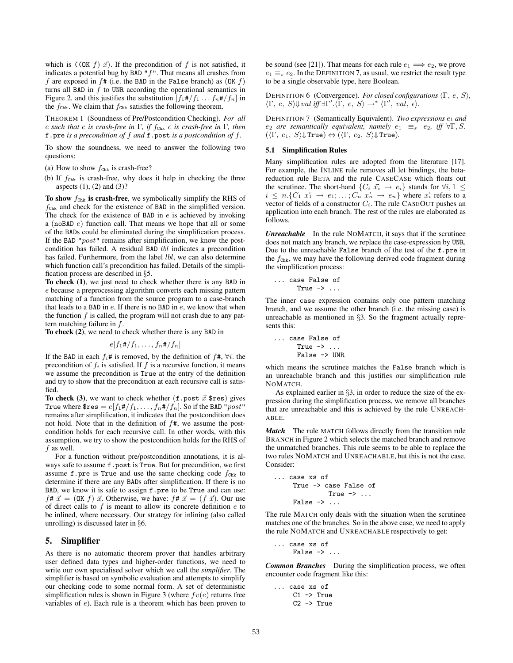which is  $($ (OK  $f$ )  $\vec{x}$ ). If the precondition of  $f$  is not satisfied, it indicates a potential bug by BAD  $"f"$ . That means all crashes from f are exposed in  $f$ # (i.e. the BAD in the False branch) as  $(OK f)$ turns all BAD in  $f$  to UNR according the operational semantics in Figure 2. and this justifies the substitution  $[f_1 \# / f_1 \dots f_n \# / f_n]$  in the  $f_{\text{Chk}}$ . We claim that  $f_{\text{Chk}}$  satisfies the following theorem.

THEOREM 1 (Soundness of Pre/Postcondition Checking). *For all* e *such that* e *is crash-free in* Γ*, if* fChk e *is crash-free in* Γ*, then* f.pre *is a precondition of* f *and* f.post *is a postcondition of* f*.*

To show the soundness, we need to answer the following two questions:

- (a) How to show  $f_{\text{Chk}}$  is crash-free?
- (b) If  $f_{\text{Chk}}$  is crash-free, why does it help in checking the three aspects (1), (2) and (3)?

**To show**  $f_{\text{Chk}}$  is crash-free, we symbolically simplify the RHS of  $f_{\text{Chk}}$  and check for the existence of BAD in the simplified version. The check for the existence of BAD in  $e$  is achieved by invoking a (noBAD e) function call. That means we hope that all or some of the BADs could be eliminated during the simplification process. If the BAD " $post$ " remains after simplification, we know the postcondition has failed. A residual BAD *lbl* indicates a precondition has failed. Furthermore, from the label *lbl*, we can also determine which function call's precondition has failed. Details of the simplification process are described in §5.

**To check (1)**, we just need to check whether there is any BAD in e because a preprocessing algorithm converts each missing pattern matching of a function from the source program to a case-branch that leads to a BAD in  $e$ . If there is no BAD in  $e$ , we know that when the function  $f$  is called, the program will not crash due to any pattern matching failure in f.

**To check (2)**, we need to check whether there is any BAD in

$$
e[f_1\#/f_1,\ldots,f_n\#/f_n]
$$

If the BAD in each  $f_i$ # is removed, by the definition of  $f$ #,  $\forall i$ . the precondition of  $f_i$  is satisfied. If f is a recursive function, it means we assume the precondition is True at the entry of the definition and try to show that the precondition at each recursive call is satisfied.

To check (3), we want to check whether  $(f.\text{post } \vec{x} \text{ sres})$  gives True where  $\text{Sres} = e[f_1 \# / f_1, \ldots, f_n \# / f_n]$ . So if the BAD " $post$ " remains after simplification, it indicates that the postcondition does not hold. Note that in the definition of  $f#$ , we assume the postcondition holds for each recursive call. In other words, with this assumption, we try to show the postcondition holds for the RHS of f as well.

For a function without pre/postcondition annotations, it is always safe to assume  $f$ .post is True. But for precondition, we first assume f.pre is True and use the same checking code  $f_{Chk}$  to determine if there are any BADs after simplification. If there is no BAD, we know it is safe to assign f.pre to be True and can use:  $f \# \vec{x} = (OK f) \vec{x}$ . Otherwise, we have:  $f \# \vec{x} = (f \vec{x})$ . Our use of direct calls to  $f$  is meant to allow its concrete definition  $e$  to be inlined, where necessary. Our strategy for inlining (also called unrolling) is discussed later in §6.

# **5. Simplifier**

As there is no automatic theorem prover that handles arbitrary user defined data types and higher-order functions, we need to write our own specialised solver which we call the *simplifier*. The simplifier is based on symbolic evaluation and attempts to simplify our checking code to some normal form. A set of deterministic simplification rules is shown in Figure 3 (where  $fv(e)$  returns free variables of e). Each rule is a theorem which has been proven to be sound (see [21]). That means for each rule  $e_1 \Longrightarrow e_2$ , we prove  $e_1 \equiv_s e_2$ . In the DEFINITION 7, as usual, we restrict the result type to be a single observable type, here Boolean.

DEFINITION 6 (Convergence). *For closed configurations* Γ, e, S*,*  $\langle \Gamma, e, S \rangle \Downarrow$  *val iff*  $\exists \Gamma'. \langle \Gamma, e, S \rangle \rightarrow^* \langle \Gamma', val, \epsilon \rangle$ .

DEFINITION 7 (Semantically Equivalent). *Two expressions*  $e_1$  and *e*<sub>2</sub> *are semantically equivalent, namely*  $e_1 \equiv_s e_2$ , *iff*  $\forall \Gamma, S$ .  $(\langle \Gamma, e_1, S \rangle \Downarrow \text{True}) \Leftrightarrow (\langle \Gamma, e_2, S \rangle \Downarrow \text{True}).$ 

# **5.1 Simplification Rules**

Many simplification rules are adopted from the literature [17]. For example, the INLINE rule removes all let bindings, the betareduction rule BETA and the rule CASECASE which floats out the scrutinee. The short-hand  $\{C_i \; \vec{x_i} \rightarrow e_i\}$  stands for  $\forall i, 1 \leq$  $i \leq n \cdot \{C_1 \ \vec{x_1} \rightarrow e_1; \ldots; C_n \ \vec{x_n} \rightarrow e_n \}$  where  $\vec{x_i}$  refers to a vector of fields of a constructor C*i*. The rule CASEOUT pushes an application into each branch. The rest of the rules are elaborated as follows.

*Unreachable* In the rule NOMATCH, it says that if the scrutinee does not match any branch, we replace the case-expression by UNR. Due to the unreachable False branch of the test of the f.pre in the  $f_{\text{Chk}}$ , we may have the following derived code fragment during the simplification process:

$$
\dots
$$
 case False of  
\nTrue -> ...

The inner case expression contains only one pattern matching branch, and we assume the other branch (i.e. the missing case) is unreachable as mentioned in §3. So the fragment actually represents this:

... case False of True  $\rightarrow$  ... False -> UNR

which means the scrutinee matches the False branch which is an unreachable branch and this justifies our simplification rule NOMATCH.

As explained earlier in §3, in order to reduce the size of the expression during the simplification process, we remove all branches that are unreachable and this is achieved by the rule UNREACH-ABLE.

*Match* The rule MATCH follows directly from the transition rule BRANCH in Figure 2 which selects the matched branch and remove the unmatched branches. This rule seems to be able to replace the two rules NOMATCH and UNREACHABLE, but this is not the case. Consider:

```
... case xs of
      True -> case False of
                  True \rightarrow ...
      False \rightarrow \ldots
```
The rule MATCH only deals with the situation when the scrutinee matches one of the branches. So in the above case, we need to apply the rule NOMATCH and UNREACHABLE respectively to get:

```
... case xs of
      False \rightarrow \ldots
```
*Common Branches* During the simplification process, we often encounter code fragment like this:

```
... case xs of
    C1 -> True
    C2 -> True
```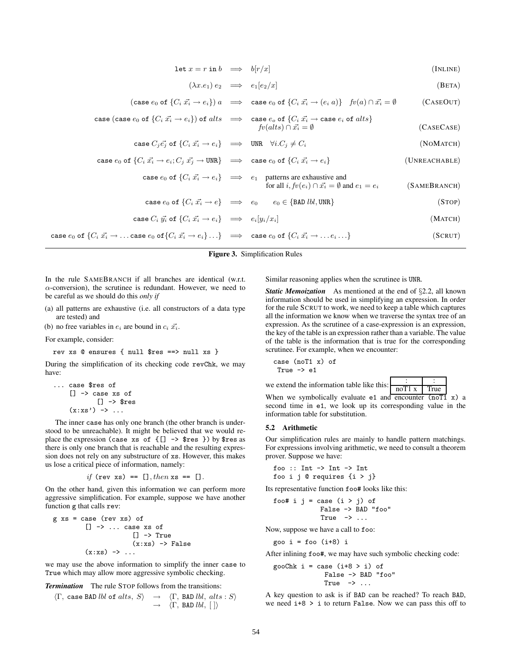| $\det x = r \cdot \ln b \implies b[r/x]$ |  |  |  | (INLINE) |  |
|------------------------------------------|--|--|--|----------|--|
|------------------------------------------|--|--|--|----------|--|

$$
(\lambda x.e_1) e_2 \implies e_1[e_2/x] \tag{BETA}
$$

 $\bigl(\textsf{case}\ e_{0}\ \textsf{of}\ \{C_{i}\ \vec{x_{i}} \rightarrow e_{i}\}\bigr)\ a\ \ \ \Longrightarrow\ \ \textsf{case}\ e_{0}\ \textsf{of}\ \{C_{i}\ \vec{x_{i}} \rightarrow (e_{i}\ a)\}\ \ \ \textit{fv}(a)\cap \vec{x_{i}}$  $(CASEOUT)$ 

case (case 
$$
e_0
$$
 of  $\{C_i \vec{x_i} \rightarrow e_i\}$ ) of *alts*  $\implies$  case  $e_o$  of  $\{C_i \vec{x_i} \rightarrow \text{case } e_i \text{ of } alts\}$   

$$
fv(alts) \cap \vec{x_i} = \emptyset
$$
 (CASECASE)

$$
\text{case } C_j \vec{e_j} \text{ of } \{C_i \vec{x_i} \to e_i\} \implies \text{UNK } \forall i. C_j \neq C_i \tag{NOMATCH}
$$

case 
$$
e_0
$$
 of  $\{C_i \vec{x_i} \rightarrow e_i; C_j \vec{x_j} \rightarrow \text{UNR}\}\right\}$   $\implies$  case  $e_0$  of  $\{C_i \vec{x_i} \rightarrow e_i\}$  (UNREACHABLE)

case 
$$
e_0
$$
 of  $\{C_i \vec{x_i} \to e_i\}$   $\implies$   $e_1$  patterns are exhaustive and  
for all  $i, fv(e_i) \cap \vec{x_i} = \emptyset$  and  $e_1 = e_i$  (SAMEBRANCH)

$$
\text{case } e_0 \text{ of } \{C_i \ \vec{x_i} \to e\} \quad \Longrightarrow \quad e_0 \qquad e_0 \in \{\text{BAD } lbl, \text{UNR}\} \tag{STOP}
$$

$$
\text{case } C_i \ \vec{y_i} \text{ of } \{C_i \ \vec{x_i} \to e_i\} \quad \Longrightarrow \quad e_i[y_i/x_i] \tag{MATCH}
$$

 $\mathsf{case}\ e_0 \text{ of }\{C_i\ \vec{x_i}\rightarrow \ldots \text{case}\ e_0 \text{ of }\{C_i\ \vec{x_i}\rightarrow e_i\}\ldots\} \quad \implies \quad \mathsf{case}\ e_0 \text{ of }\{C_i\ \vec{x_i}\rightarrow \ldots e_i\ldots\} \tag{\text{SCRUT}}$ 

**Figure 3.** Simplification Rules

In the rule SAMEBRANCH if all branches are identical (w.r.t.  $\alpha$ -conversion), the scrutinee is redundant. However, we need to be careful as we should do this *only if*

- (a) all patterns are exhaustive (i.e. all constructors of a data type are tested) and
- (b) no free variables in  $e_i$  are bound in  $c_i \, \vec{x_i}$ .

For example, consider:

rev xs @ ensures { null \$res ==> null xs }

During the simplification of its checking code revChk, we may have:

```
... case $res of
     [] -> case xs of
               [] \rightarrow $res
     (x:xs') \rightarrow \ldots
```
The inner case has only one branch (the other branch is understood to be unreachable). It might be believed that we would replace the expression (case xs of  $\{[] \rightarrow$  \$res }) by \$res as there is only one branch that is reachable and the resulting expression does not rely on any substructure of xs. However, this makes us lose a critical piece of information, namely:

*if* (rev xs) == [], then xs == [].

On the other hand, given this information we can perform more aggressive simplification. For example, suppose we have another function g that calls rev:

$$
g xs = case (rev xs) of
$$
  
\n
$$
[] \rightarrow ... case xs of
$$
  
\n
$$
[] \rightarrow True
$$
  
\n
$$
(x:xs) \rightarrow ...
$$
  
\n
$$
(*)
$$

we may use the above information to simplify the inner case to True which may allow more aggressive symbolic checking.

*Termination* The rule STOP follows from the transitions:

$$
\langle \Gamma, \text{ case BAD}\, \text{lbl of } \text{alts}, \, S \rangle \rightarrow \langle \Gamma, \text{ BAD}\, \text{lbl}, \, \text{alts}: S \rangle
$$

$$
\rightarrow \langle \Gamma, \text{ BAD}\, \text{lbl}, \, [ \, ] \rangle
$$

Similar reasoning applies when the scrutinee is UNR.

*Static Memoization* As mentioned at the end of §2.2, all known information should be used in simplifying an expression. In order for the rule SCRUT to work, we need to keep a table which captures all the information we know when we traverse the syntax tree of an expression. As the scrutinee of a case-expression is an expression, the key of the table is an expression rather than a variable. The value of the table is the information that is true for the corresponding scrutinee. For example, when we encounter:

$$
\begin{array}{lcl} \text{case} & \text{(noT1 x) of} \\ \text{True & \text{--&} e1} \end{array}
$$



When we symbolically evaluate  $e1$  and encounter  $(noT1 x) a$ second time in e1, we look up its corresponding value in the information table for substitution.

# **5.2 Arithmetic**

Our simplification rules are mainly to handle pattern matchings. For expressions involving arithmetic, we need to consult a theorem prover. Suppose we have:

foo :: Int -> Int -> Int foo i j @ requires  $\{i > j\}$ 

Its representative function foo# looks like this:

$$
\begin{array}{rl} \text{foot} & \text{i j} = \text{case} \; (\text{i} > \text{j}) \; \text{of} \\ & \text{False} \; \rightarrow \text{BAD} \; \text{``foo''} \\ & \text{True} \; \rightarrow \; \dots \end{array}
$$

Now, suppose we have a call to foo:

goo i = foo (i+8) i

After inlining foo#, we may have such symbolic checking code:

gooChk  $i = \text{case} (i+8 > i)$  of False -> BAD "foo" True  $\rightarrow \ldots$ 

A key question to ask is if BAD can be reached? To reach BAD, we need  $i+8$  > i to return False. Now we can pass this off to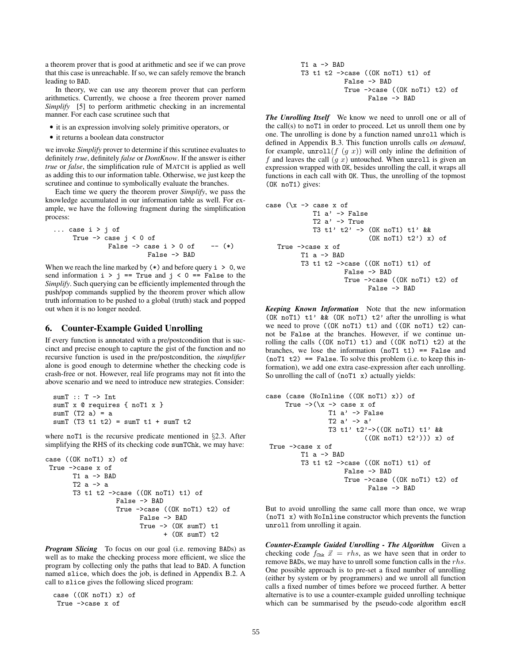a theorem prover that is good at arithmetic and see if we can prove that this case is unreachable. If so, we can safely remove the branch leading to BAD.

In theory, we can use any theorem prover that can perform arithmetics. Currently, we choose a free theorem prover named *Simplify* [5] to perform arithmetic checking in an incremental manner. For each case scrutinee such that

- *•* it is an expression involving solely primitive operators, or
- *•* it returns a boolean data constructor

we invoke *Simplify* prover to determine if this scrutinee evaluates to definitely *true*, definitely *false* or *DontKnow*. If the answer is either *true* or *false*, the simplification rule of MATCH is applied as well as adding this to our information table. Otherwise, we just keep the scrutinee and continue to symbolically evaluate the branches.

Each time we query the theorem prover *Simplify*, we pass the knowledge accumulated in our information table as well. For example, we have the following fragment during the simplification process:

```
... case i > j of
     True \rightarrow case j < 0 of
                False \rightarrow case i > 0 of -- (*)
                           False -> BAD
```
When we reach the line marked by  $(*)$  and before query  $i > 0$ , we send information  $i > j == True$  and  $j < 0 == False$  to the *Simplify*. Such querying can be efficiently implemented through the push/pop commands supplied by the theorem prover which allow truth information to be pushed to a global (truth) stack and popped out when it is no longer needed.

### **6. Counter-Example Guided Unrolling**

If every function is annotated with a pre/postcondition that is succinct and precise enough to capture the gist of the function and no recursive function is used in the pre/postcondition, the *simplifier* alone is good enough to determine whether the checking code is crash-free or not. However, real life programs may not fit into the above scenario and we need to introduce new strategies. Consider:

```
sumT :: T -> Int
sumT x @ requires { noT1 x }
sumT(T2 a) = asumT (T3 t1 t2) = sumT t1 + sumT t2
```
where noT1 is the recursive predicate mentioned in §2.3. After simplifying the RHS of its checking code sumTChk, we may have:

```
case ((OK noT1) x) of
True ->case x of
       T1 a \rightarrow BADT2 a -> a
       T3 t1 t2 ->case ((OK noT1) t1) of
                  False -> BAD
                  True ->case ((OK noT1) t2) of
                         False -> BAD
                         True -> (OK sumT) t1
                               + (OK sumT) t2
```
*Program Slicing* To focus on our goal (i.e. removing BADs) as well as to make the checking process more efficient, we slice the program by collecting only the paths that lead to BAD. A function named slice, which does the job, is defined in Appendix B.2. A call to slice gives the following sliced program:

case ((OK noT1) x) of True ->case x of

T1 a -> BAD T3 t1 t2 ->case ((OK noT1) t1) of False -> BAD True ->case ((OK noT1) t2) of False -> BAD

*The Unrolling Itself* We know we need to unroll one or all of the call(s) to noT1 in order to proceed. Let us unroll them one by one. The unrolling is done by a function named unroll which is defined in Appendix B.3. This function unrolls calls *on demand*, for example,  $unroll(f(g x))$  will only inline the definition of f and leaves the call  $(g \, x)$  untouched. When unroll is given an expression wrapped with OK, besides unrolling the call, it wraps all functions in each call with OK. Thus, the unrolling of the topmost (OK noT1) gives:

```
case (\x \rightarrow x \text{ case } x \text{ of})T1 a' -> False
               T2 a' -> True
               T3 t1' t2' -> (OK noT1) t1' &&
                                 (OK noT1) t2') x) of
   True ->case x of
           T1 a \rightarrow BADT3 t1 t2 \rightarrow case ((OK noT1) t1) of
                         False -> BAD
                         True ->case ((OK noT1) t2) of
                                False \rightarrow BAD
```
*Keeping Known Information* Note that the new information (OK noT1)  $t1'$  && (OK noT1)  $t2'$  after the unrolling is what we need to prove ((OK noT1) t1) and ((OK noT1) t2) cannot be False at the branches. However, if we continue unrolling the calls  $((OK noT1) t1)$  and  $((OK noT1) t2)$  at the branches, we lose the information  $(noT1 t1) == False$  and  $(noT1 t2) == False$ . To solve this problem (i.e. to keep this information), we add one extra case-expression after each unrolling. So unrolling the call of  $(noT1 x)$  actually yields:

```
case (case (NoInline ((OK noT1) x)) of
      True \rightarrow (\overline{x} \rightarrow case x of
                   T1 a' -> False
                   T2 a' \rightarrow a'T3 t1' t2'->((OK noT1) t1' &&
                              ((0K noT1) t2')) x of
 True ->case x of
          T1 a \rightarrow BADT3 t1 t2 \rightarrow case ((OK noT1) t1) of
                        False -> BAD
                        True ->case ((OK noT1) t2) of
                               False -> BAD
```
But to avoid unrolling the same call more than once, we wrap (noT1 x) with NoInline constructor which prevents the function unroll from unrolling it again.

*Counter-Example Guided Unrolling - The Algorithm* Given a checking code  $f_{\text{Chk}} \, \vec{x} = rhs$ , as we have seen that in order to remove BADs, we may have to unroll some function calls in the rhs. One possible approach is to pre-set a fixed number of unrolling (either by system or by programmers) and we unroll all function calls a fixed number of times before we proceed further. A better alternative is to use a counter-example guided unrolling technique which can be summarised by the pseudo-code algorithm escH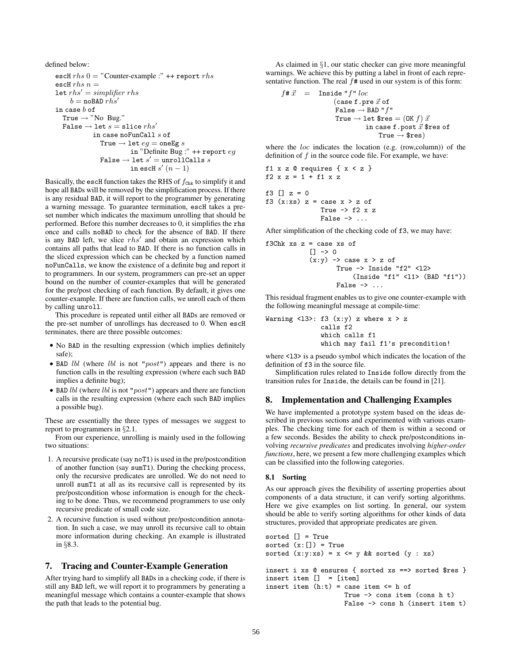```
defined below:
   escH rhs 0 = "Counter-example :" ++ report rhsescH rhs n =let rhs' = simplifyb = \texttt{noBAD }rhs'in case b of
     True \rightarrow "No Bug."
     False \rightarrow let s = slice rhs'in case no<br>FunCall \boldsymbol{s} of
                  True \rightarrow let eg = \text{oneEg } sin "Definite Bug :" ++ report eg
                  False \rightarrow let s' = unrollCalls sin escH s'(n-1)
```
Basically, the escH function takes the RHS of  $f_{\text{Chk}}$  to simplify it and hope all BADs will be removed by the simplification process. If there is any residual BAD, it will report to the programmer by generating a warning message. To guarantee termination, escH takes a preset number which indicates the maximum unrolling that should be performed. Before this number decreases to 0, it simplifies the rhs once and calls noBAD to check for the absence of BAD. If there is any BAD left, we slice  $rhs'$  and obtain an expression which contains all paths that lead to BAD. If there is no function calls in the sliced expression which can be checked by a function named noFunCalls, we know the existence of a definite bug and report it to programmers. In our system, programmers can pre-set an upper bound on the number of counter-examples that will be generated for the pre/post checking of each function. By default, it gives one counter-example. If there are function calls, we unroll each of them by calling unroll.

This procedure is repeated until either all BADs are removed or the pre-set number of unrollings has decreased to 0. When escH terminates, there are three possible outcomes:

- *•* No BAD in the resulting expression (which implies definitely safe);
- BAD *lbl* (where *lbl* is not "*post*") appears and there is no function calls in the resulting expression (where each such BAD implies a definite bug);
- BAD *lbl* (where *lbl* is not "*post*") appears and there are function calls in the resulting expression (where each such BAD implies a possible bug).

These are essentially the three types of messages we suggest to report to programmers in §2.1.

From our experience, unrolling is mainly used in the following two situations:

- 1. A recursive predicate (say noT1) is used in the pre/postcondition of another function (say sumT1). During the checking process, only the recursive predicates are unrolled. We do not need to unroll sumT1 at all as its recursive call is represented by its pre/postcondition whose information is enough for the checking to be done. Thus, we recommend programmers to use only recursive predicate of small code size.
- 2. A recursive function is used without pre/postcondition annotation. In such a case, we may unroll its recursive call to obtain more information during checking. An example is illustrated in §8.3.

# **7. Tracing and Counter-Example Generation**

After trying hard to simplify all BADs in a checking code, if there is still any BAD left, we will report it to programmers by generating a meaningful message which contains a counter-example that shows the path that leads to the potential bug.

As claimed in §1, our static checker can give more meaningful warnings. We achieve this by putting a label in front of each representative function. The real  $f$ # used in our system is of this form:

```
f#\vec{x} = Inside "f" loc(\texttt{case f. pre}\ \vec{x}\ \texttt{of}False \rightarrow BAD "f"
                         True \rightarrow let $res =( OK f) \vec{x}in case {\tt f} . post \vec x $res of
                                            True \rightarrow $res)
```
where the *loc* indicates the location (e.g. (row,column)) of the definition of  $f$  in the source code file. For example, we have:

```
f1 x z Q requires \{x < z\}f2 x z = 1 + f1 x z
```

```
f3 [] z = 0f3 (x:xs) z = \cose x > z of
                  True \rightarrow f2 x z
                  False \rightarrow ...
```
After simplification of the checking code of f3, we may have:

```
f3Chk xs z = case xs of
               [ ] \rightarrow 0(x:y) \rightarrow case x > z of
                        True \rightarrow Inside "f2" <12>
                             (Inside "f1" <l1> (BAD "f1"))
                        False \rightarrow \ldots
```
This residual fragment enables us to give one counter-example with the following meaningful message at compile-time:

```
Warning \langle 13 \rangle: f3 (x:y) z where x > zcalls f2
                which calls f1
                which may fail f1's precondition!
```
where <13> is a pseudo symbol which indicates the location of the definition of f3 in the source file.

Simplification rules related to Inside follow directly from the transition rules for Inside, the details can be found in [21].

# **8. Implementation and Challenging Examples**

We have implemented a prototype system based on the ideas described in previous sections and experimented with various examples. The checking time for each of them is within a second or a few seconds. Besides the ability to check pre/postconditions involving *recursive predicates* and predicates involving *higher-order functions*, here, we present a few more challenging examples which can be classified into the following categories.

### **8.1 Sorting**

As our approach gives the flexibility of asserting properties about components of a data structure, it can verify sorting algorithms. Here we give examples on list sorting. In general, our system should be able to verify sorting algorithms for other kinds of data structures, provided that appropriate predicates are given.

```
sorted [] = True
sorted (x:[]) = True
sorted (x:y:xs) = x \le y && sorted (y : xs)insert i xs @ ensures { sorted xs ==> sorted $res }
insert item [] = [item]
insert item (h:t) = \text{case item} \leq h of
                    True -> cons item (cons h t)
                    False -> cons h (insert item t)
```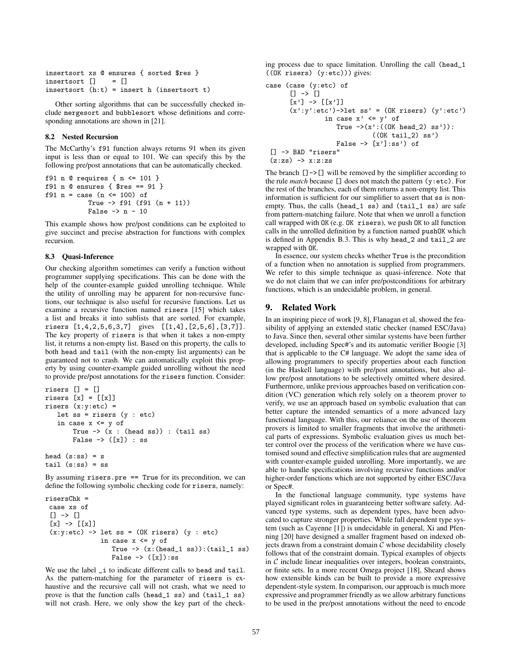```
insertsort xs @ ensures { sorted $res }
insertsort [] = []
insertsort (h:t) = insert h (insertsort t)
```
Other sorting algorithms that can be successfully checked include mergesort and bubblesort whose definitions and corresponding annotations are shown in [21].

# **8.2 Nested Recursion**

The McCarthy's f91 function always returns 91 when its given input is less than or equal to 101. We can specify this by the following pre/post annotations that can be automatically checked.

```
f91 n @ requires { n <= 101 }
f91 n @ ensures { $res == 91 }
f91 n = case (n \le 100) of
           True -> f91 (f91 (n + 11))
           False \rightarrow n - 10
```
This example shows how pre/post conditions can be exploited to give succinct and precise abstraction for functions with complex recursion.

# **8.3 Quasi-Inference**

Our checking algorithm sometimes can verify a function without programmer supplying specifications. This can be done with the help of the counter-example guided unrolling technique. While the utility of unrolling may be apparent for non-recursive functions, our technique is also useful for recursive functions. Let us examine a recursive function named risers [15] which takes a list and breaks it into sublists that are sorted. For example, risers [1,4,2,5,6,3,7] gives [[1,4],[2,5,6],[3,7]]. The key property of risers is that when it takes a non-empty list, it returns a non-empty list. Based on this property, the calls to both head and tail (with the non-empty list arguments) can be guaranteed not to crash. We can automatically exploit this property by using counter-example guided unrolling without the need to provide pre/post annotations for the risers function. Consider:

```
risers [] = []
risers [x] = [[x]]risers (x:y:etc) =
   let ss = risers (y : etc)
   in case x \le y of
        True \rightarrow (x : (head ss)) : (tail ss)
        False \rightarrow ([x]) : ss
```
head  $(s:ss) = s$ tail  $(s:ss) = ss$ 

By assuming risers.pre  $==$  True for its precondition, we can define the following symbolic checking code for risers, namely:

```
risersChk =
 case xs of
 [] -> [][x] \rightarrow [x](x:y:etc) \rightarrow let ss = (OK rises) (y : etc)in case x \le y of
                    True \rightarrow (x:(head_1 ss):(tail_1 ss)False \rightarrow ([x]):ss
```
We use the label \_i to indicate different calls to head and tail. As the pattern-matching for the parameter of risers is exhaustive and the recursive call will not crash, what we need to prove is that the function calls (head\_1 ss) and (tail\_1 ss) will not crash. Here, we only show the key part of the checking process due to space limitation. Unrolling the call (head\_1 ((OK risers) (y:etc))) gives:

case (case (y:etc) of [] -> [] [x'] -> [[x']] (x':y':etc')->let ss' = (OK risers) (y':etc') in case x' <= y' of True ->(x':((OK head\_2) ss')): ((OK tail\_2) ss') False -> [x']:ss') of [] -> BAD "risers" (z:zs) -> x:z:zs

The branch  $[] \rightarrow []$  will be removed by the simplifier according to the rule *match* because [] does not match the pattern (y:etc). For the rest of the branches, each of them returns a non-empty list. This information is sufficient for our simplifier to assert that ss is nonempty. Thus, the calls (head\_1 ss) and (tail\_1 ss) are safe from pattern-matching failure. Note that when we unroll a function call wrapped with OK (e.g. OK risers), we push OK to all function calls in the unrolled definition by a function named pushOK which is defined in Appendix B.3. This is why head\_2 and tail\_2 are wrapped with OK.

In essence, our system checks whether True is the precondition of a function when no annotation is supplied from programmers. We refer to this simple technique as quasi-inference. Note that we do not claim that we can infer pre/postconditions for arbitrary functions, which is an undecidable problem, in general.

# **9. Related Work**

In an inspiring piece of work [9, 8], Flanagan et al, showed the feasibility of applying an extended static checker (named ESC/Java) to Java. Since then, several other similar systems have been further developed, including Spec#'s and its automatic verifier Boogie [3] that is applicable to the C# language. We adopt the same idea of allowing programmers to specify properties about each function (in the Haskell language) with pre/post annotations, but also allow pre/post annotations to be selectively omitted where desired. Furthermore, unlike previous approaches based on verification condition (VC) generation which rely solely on a theorem prover to verify, we use an approach based on symbolic evaluation that can better capture the intended semantics of a more advanced lazy functional language. With this, our reliance on the use of theorem provers is limited to smaller fragments that involve the arithmetical parts of expressions. Symbolic evaluation gives us much better control over the process of the verification where we have customised sound and effective simplification rules that are augmented with counter-example guided unrolling. More importantly, we are able to handle specifications involving recursive functions and/or higher-order functions which are not supported by either ESC/Java or Spec#.

In the functional language community, type systems have played significant roles in guaranteeing better software safety. Advanced type systems, such as dependent types, have been advocated to capture stronger properties. While full dependent type system (such as Cayenne [1]) is undecidable in general, Xi and Pfenning [20] have designed a smaller fragment based on indexed objects drawn from a constraint domain  $\mathcal C$  whose decidability closely follows that of the constraint domain. Typical examples of objects in  $C$  include linear inequalities over integers, boolean constraints, or finite sets. In a more recent Omega project [18], Sheard shows how extensible kinds can be built to provide a more expressive dependent-style system. In comparison, our approach is much more expressive and programmer friendly as we allow arbitrary functions to be used in the pre/post annotations without the need to encode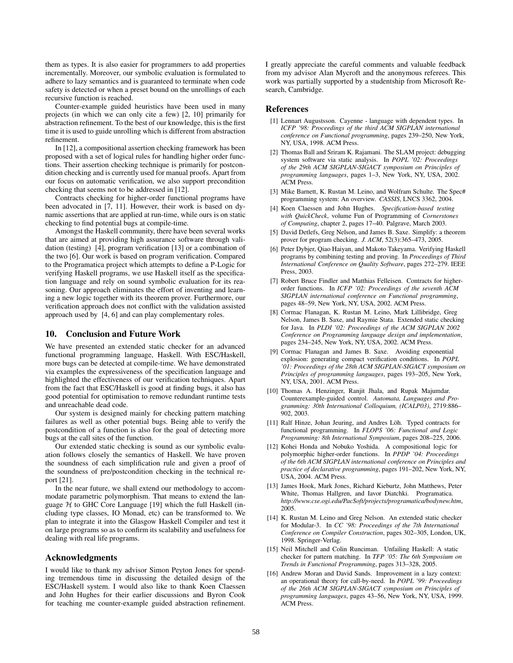them as types. It is also easier for programmers to add properties incrementally. Moreover, our symbolic evaluation is formulated to adhere to lazy semantics and is guaranteed to terminate when code safety is detected or when a preset bound on the unrollings of each recursive function is reached.

Counter-example guided heuristics have been used in many projects (in which we can only cite a few) [2, 10] primarily for abstraction refinement. To the best of our knowledge, this is the first time it is used to guide unrolling which is different from abstraction refinement.

In [12], a compositional assertion checking framework has been proposed with a set of logical rules for handling higher order functions. Their assertion checking technique is primarily for postcondition checking and is currently used for manual proofs. Apart from our focus on automatic verification, we also support precondition checking that seems not to be addressed in [12].

Contracts checking for higher-order functional programs have been advocated in [7, 11]. However, their work is based on dynamic assertions that are applied at run-time, while ours is on static checking to find potential bugs at compile-time.

Amongst the Haskell community, there have been several works that are aimed at providing high assurance software through validation (testing) [4], program verification [13] or a combination of the two [6]. Our work is based on program verification. Compared to the Programatica project which attempts to define a P-Logic for verifying Haskell programs, we use Haskell itself as the specification language and rely on sound symbolic evaluation for its reasoning. Our approach eliminates the effort of inventing and learning a new logic together with its theorem prover. Furthermore, our verification approach does not conflict with the validation assisted approach used by [4, 6] and can play complementary roles.

# **10. Conclusion and Future Work**

We have presented an extended static checker for an advanced functional programming language, Haskell. With ESC/Haskell, more bugs can be detected at compile-time. We have demonstrated via examples the expressiveness of the specification language and highlighted the effectiveness of our verification techniques. Apart from the fact that ESC/Haskell is good at finding bugs, it also has good potential for optimisation to remove redundant runtime tests and unreachable dead code.

Our system is designed mainly for checking pattern matching failures as well as other potential bugs. Being able to verify the postcondition of a function is also for the goal of detecting more bugs at the call sites of the function.

Our extended static checking is sound as our symbolic evaluation follows closely the semantics of Haskell. We have proven the soundness of each simplification rule and given a proof of the soundness of pre/postcondition checking in the technical report [21].

In the near future, we shall extend our methodology to accommodate parametric polymorphism. That means to extend the language  $H$  to GHC Core Language [19] which the full Haskell (including type classes, IO Monad, etc) can be transformed to. We plan to integrate it into the Glasgow Haskell Compiler and test it on large programs so as to confirm its scalability and usefulness for dealing with real life programs.

# **Acknowledgments**

I would like to thank my advisor Simon Peyton Jones for spending tremendous time in discussing the detailed design of the ESC/Haskell system. I would also like to thank Koen Claessen and John Hughes for their earlier discussions and Byron Cook for teaching me counter-example guided abstraction refinement. I greatly appreciate the careful comments and valuable feedback from my advisor Alan Mycroft and the anonymous referees. This work was partially supported by a studentship from Microsoft Research, Cambridge.

# **References**

- [1] Lennart Augustsson. Cayenne language with dependent types. In *ICFP '98: Proceedings of the third ACM SIGPLAN international conference on Functional programming*, pages 239–250, New York, NY, USA, 1998. ACM Press.
- [2] Thomas Ball and Sriram K. Rajamani. The SLAM project: debugging system software via static analysis. In *POPL '02: Proceedings of the 29th ACM SIGPLAN-SIGACT symposium on Principles of programming languages*, pages 1–3, New York, NY, USA, 2002. ACM Press.
- [3] Mike Barnett, K. Rustan M. Leino, and Wolfram Schulte. The Spec# programming system: An overview. *CASSIS*, LNCS 3362, 2004.
- [4] Koen Claessen and John Hughes. *Specification-based testing with QuickCheck*, volume Fun of Programming of *Cornerstones of Computing*, chapter 2, pages 17–40. Palgrave, March 2003.
- [5] David Detlefs, Greg Nelson, and James B. Saxe. Simplify: a theorem prover for program checking. *J. ACM*, 52(3):365–473, 2005.
- [6] Peter Dybjer, Qiao Haiyan, and Makoto Takeyama. Verifying Haskell programs by combining testing and proving. In *Proceedings of Third International Conference on Quality Software*, pages 272–279. IEEE Press, 2003.
- [7] Robert Bruce Findler and Matthias Felleisen. Contracts for higherorder functions. In *ICFP '02: Proceedings of the seventh ACM SIGPLAN international conference on Functional programming*, pages 48–59, New York, NY, USA, 2002. ACM Press.
- [8] Cormac Flanagan, K. Rustan M. Leino, Mark Lillibridge, Greg Nelson, James B. Saxe, and Raymie Stata. Extended static checking for Java. In *PLDI '02: Proceedings of the ACM SIGPLAN 2002 Conference on Programming language design and implementation*, pages 234–245, New York, NY, USA, 2002. ACM Press.
- [9] Cormac Flanagan and James B. Saxe. Avoiding exponential explosion: generating compact verification conditions. In *POPL '01: Proceedings of the 28th ACM SIGPLAN-SIGACT symposium on Principles of programming languages*, pages 193–205, New York, NY, USA, 2001. ACM Press.
- [10] Thomas A. Henzinger, Ranjit Jhala, and Rupak Majumdar. Counterexample-guided control. *Automata, Languages and Programming: 30th International Colloquium, (ICALP03)*, 2719:886– 902, 2003.
- [11] Ralf Hinze, Johan Jeuring, and Andres Löh. Typed contracts for functional programming. In *FLOPS '06: Functional and Logic Programming: 8th International Symposium*, pages 208–225, 2006.
- [12] Kohei Honda and Nobuko Yoshida. A compositional logic for polymorphic higher-order functions. In *PPDP '04: Proceedings of the 6th ACM SIGPLAN international conference on Principles and practice of declarative programming*, pages 191–202, New York, NY, USA, 2004. ACM Press.
- [13] James Hook, Mark Jones, Richard Kieburtz, John Matthews, Peter White, Thomas Hallgren, and Iavor Diatchki. Programatica. *http://www.cse.ogi.edu/PacSoft/projects/programatica/bodynew.htm*, 2005.
- [14] K. Rustan M. Leino and Greg Nelson. An extended static checker for Modular-3. In *CC '98: Proceedings of the 7th International Conference on Compiler Construction*, pages 302–305, London, UK, 1998. Springer-Verlag.
- [15] Neil Mitchell and Colin Runciman. Unfailing Haskell: A static checker for pattern matching. In *TFP '05: The 6th Symposium on Trends in Functional Programming*, pages 313–328, 2005.
- [16] Andrew Moran and David Sands. Improvement in a lazy context: an operational theory for call-by-need. In *POPL '99: Proceedings of the 26th ACM SIGPLAN-SIGACT symposium on Principles of programming languages*, pages 43–56, New York, NY, USA, 1999. ACM Press.